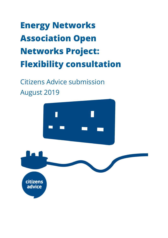# **Energy Networks Association Open Networks Project: Flexibility consultation**

Citizens Advice submission August 2019

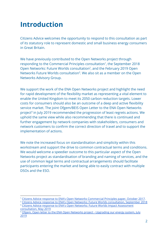## **Introduction**

Citizens Advice welcomes the opportunity to respond to this consultation as part of its statutory role to represent domestic and small business energy consumers in Great Britain.

We have previously contributed to the Open Networks project through responding to the Commercial Principles consultation<sup>1</sup>, the September 2018 Open Networks: Future Worlds consultation<sup>2</sup>, and the February 2019 Open Networks Future Worlds consultation<sup>3</sup>. We also sit as a member on the Open Networks Advisory Group.

We support the work of the ENA Open Networks project and highlight the need for rapid development of the flexibility market as representing a vital element to enable the United Kingdom to meet its 2050 carbon reduction targets. Lower costs for consumers should also be an outcome of a deep and active flexibility service market. The joint Ofgem/BEIS Open Letter to the ENA Open Networks project<sup>4</sup> in July 2019 recommended the progression of least regrets actions. We uphold the same view while also recommending that there is continued and further engagement by network companies with stakeholders, consumers and network customers to confirm the correct direction of travel and to support the implementation of actions.

We note the increased focus on standardisation and simplicity within this workstream and support the drive to common contractual terms and conditions. We would welcome a speedier outcome to this particular aspect of the Open Networks project as standardisation of branding and naming of services, and the use of common legal terms and contractual arrangements should facilitate participants entering the market and being able to easily contract with multiple DSOs and the ESO.

Citizens Advice response to ENA's Open Networks [Commercial](https://www.citizensadvice.org.uk/Global/CitizensAdvice/Energy/Energy%20Consultation%20responses/CitA%20Response_ON-WS1-P4%20Commercial%20Paper.pdf) Principles paper, October 2017.

<sup>&</sup>lt;sup>2</sup> Citizens Advice response to ENA's Open Networks: Future Worlds [consultation,](https://www.citizensadvice.org.uk/Global/CitizensAdvice/Energy/Energy%20Consultation%20responses/Citizens%20Advice_Future%20Worlds%20consultation.pdf) September 2018 <sup>3</sup> Citizens Advice response to ENA's Open Networks: Future Worlds Impact [Assessment](https://www.citizensadvice.org.uk/Global/CitizensAdvice/Energy/Energy%20Consultation%20responses/ENA%20ONP%20-%20Future%20Worlds%20Impact%20Assessment%20-%20CA%20response.pdf) [consultation,](https://www.citizensadvice.org.uk/Global/CitizensAdvice/Energy/Energy%20Consultation%20responses/ENA%20ONP%20-%20Future%20Worlds%20Impact%20Assessment%20-%20CA%20response.pdf) May 2019

Ofgem, Open letter to the ENA Open Networks project - [Upgrading](https://www.ofgem.gov.uk/system/files/docs/2019/07/ofgem-beis_joint_open_letter_to_the_ena_open_networks_project.pdf) our energy system, July [2019](https://www.ofgem.gov.uk/system/files/docs/2019/07/ofgem-beis_joint_open_letter_to_the_ena_open_networks_project.pdf)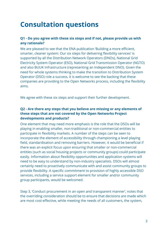### **Consultation questions**

#### **Q1 - Do you agree with these six steps and if not, please provide us with any rationale?**

We are pleased to see that the ENA publication 'Building a more efficient, smarter, cleaner system: Our six steps for delivering flexibility services' is supported by all the Distribution Network Operators (DNOs), National Grid Electricity System Operator (ESO), National Grid Transmission Operator (NGTO) and also BUUK Infrastructure (representing an Independent DNO). Given the need for whole systems thinking to make the transition to Distribution System Operator (DSO) role a success, it is welcome to see the backing that these companies are providing to the Open Networks process, including the flexibility aims.

We agree with these six steps and support their further development.

#### **Q2 - Are there any steps that you believe are missing or any elements of these steps that are not covered by the Open Networks Project developments and products?**

One element that may need more emphasis is the role that the DSOs will be playing in enabling smaller, non-traditional or non-commercial entities to participate in flexibility markets. A number of the steps can be seen to incorporate the element of accessibility through championing a level playing field, standardisation and removing barriers. However, it would be beneficial if there was an explicit focus upon ensuring that smaller or non-commercial entities (such as social housing projects or community groups) could participate easily. Information about flexibility opportunities and application systems will need to be easy to understand by non-industry specialists. DSOs will almost certainly need to proactively communicate with and assist community groups to provide flexibility. A specific commitment to provision of highly accessible DSO services, including a service support element for smaller and/or community group participants, would be welcomed.

Step 3, 'Conduct procurement in an open and transparent manner', notes that the overriding consideration should be to ensure that decisions are made which are most cost-effective, while meeting the needs of all customers, the system,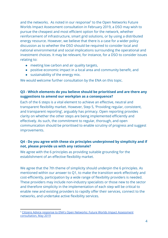and the networks. As noted in our response<sup>5</sup> to the Open Networks Future Worlds Impact Assessment consultation in February 2019, a DSO may wish to pursue the cheapest and most efficient option for the network, whether reinforcement of infrastructure, smart grid solutions, or by using a distributed energy resource. However, we believe that there is a case for a wider policy discussion as to whether the DSO should be required to consider local and national environmental and social implications surrounding the operational and investment choices. It may be relevant, for instance, for a DSO to consider issues relating to:

- meeting low carbon and air quality targets,
- positive economic impact in a local area and community benefit, and
- sustainability of the energy mix.

We would welcome further consultation by the ENA on this topic.

#### **Q3 - Which elements do you believe should be prioritised and are there any suggestions to amend our workplan as a consequence?**

Each of the 6 steps is a vital element to achieve an effective, neutral and transparent flexibility market. However, Step 5, 'Providing regular, consistent, and transparent reporting', arguably has primacy. Open reporting provides clarity on whether the other steps are being implemented efficiently and effectively. As such, the commitment to regular, thorough, and open communication should be prioritised to enable scrutiny of progress and suggest improvements.

#### **Q4 - Do you agree with these six principles underpinned by simplicity and if not, please provide us with any rationale?**

We agree with the 6 principles as providing suitable grounding for the establishment of an effective flexibility market.

We agree that the 7th theme of simplicity should underpin the 6 principles. As mentioned within our answer to Q1, to make the transition work effectively and cost-efficiently, participation by a wide range of flexibility providers is needed. These providers may include non-industry specialists or those new to the sector and therefore simplicity in the implementation of each step will be critical to enable new and existing providers to rapidly offer their services, connect to the networks, and undertake active flexibility services.

<sup>&</sup>lt;sup>5</sup> Citizens Advice response to ENA's Open Networks: Future Worlds Impact [Assessment](https://www.citizensadvice.org.uk/Global/CitizensAdvice/Energy/Energy%20Consultation%20responses/ENA%20ONP%20-%20Future%20Worlds%20Impact%20Assessment%20-%20CA%20response.pdf) [consultation,](https://www.citizensadvice.org.uk/Global/CitizensAdvice/Energy/Energy%20Consultation%20responses/ENA%20ONP%20-%20Future%20Worlds%20Impact%20Assessment%20-%20CA%20response.pdf) May 2019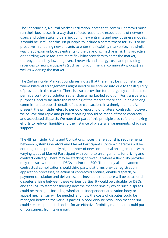The 1st principle, Neutral Market Facilitation, notes that System Operators must run their businesses in a way that reflects reasonable expectations of network users and other stakeholders, including new entrants and new business models. It would be useful for this 1st principle to include a commitment for DSOs to be proactive in enabling new entrants to enter the flexibility market (i.e. in a similar way that Elexon onboards entrants to the balancing mechanism). This proactive onboarding would facilitate more flexibility providers to enter the market, thereby potentially lowering overall network and energy costs and providing revenues to new participants (such as non-commercial community groups), as well as widening the market.

The 2nd principle, Market Boundaries, notes that there may be circumstances where bilateral arrangements might need to be entered into due to the illiquidity of providers in the market. There is also a provision for emergency conditions to permit a control-led solution rather than a market-led solution. For transparency purposes and to facilitate the widening of the market, there should be a strong commitment to publish details of these transactions in a timely manner. At present, the principle refers to periodic reporting of bilateral contracts, however, we believe that rapid and public reporting should be made of these contracts and associated dispatch. We note that part of this principle also refers to making efforts to reduce illiquidity and the instance of bilateral arrangements, which we support.

The 4th principle, Rights and Obligations, notes the relationship requirements between System Operators and Market Participants. System Operators will be entering into a potentially high number of new commercial arrangements with varying types of Market Participant with complex arrangements for pricing and contract delivery. There may be stacking of revenue where a flexibility provider may contract with multiple DSOs and/or the ESO. There may also be added contractual complication should third party platforms provide registration, application processes, selection of contracted entities, enable dispatch, or payment calculation and deliveries. It is inevitable that there will be occasional disputes arising between these various parties. It would be valuable for DSOs and the ESO to start considering now the mechanisms by which such disputes could be managed, including whether an independent arbitration body or appeal mechanism will be needed, and how the costs of disputes could be managed between the various parties. A poor dispute resolution mechanism could create a potential blocker for an effective flexibility market and could put off consumers from taking part.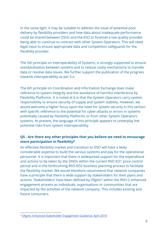In the same light, it may be suitable to address the issue of potential poor delivery by flexibility providers and how data about inadequate performance could be shared between DSOs and the ESO to forestall a low quality provider being able to continue to contract with other System Operators. This will need legal input to ensure appropriate data and competition safeguards for the flexibility provider.

The 5th principle on Interoperability of Systems, is strongly supported to ensure standardisation between systems and to reduce costly mechanisms to transfer data or revolve data issues. We further support the publication of the progress towards interoperability as per 5.ii.

The 6th principle on Coordination and Information Exchange does make reference to system integrity and the avoidance of harmful interference by Flexibility Platforms. It is noted at 6.iv that the System Operators carry system responsibility to ensure security of supply and system stability. However, we would welcome a higher focus upon the need for system security in this section with specific reference to the potential for cyber-attacks or errors in systems potentially caused by Flexibility Platforms or from other System Operators' systems. At present, the language of this principle appears to underplay the potential risks from system interoperability.

#### **Q5 - Are there any other principles that you believe we need to encourage more participation in flexibility?**

An effective flexibility market and transition to DSO will have a likely considerable expense to build the various systems and pay for the operational personnel. It is important that there is widespread support for the expenditure and actions to be taken by the DNOs within the current RIIO-ED1 price control period and in the forthcoming RIIO-ED2 business planning process to facilitate the flexibility market. We would therefore recommend that network companies have a principle that there is wide support by stakeholders for their plans and actions. 'Stakeholders' have been defined by Ofgem $<sup>6</sup>$  within the RIIO-2 enhanced</sup> engagement process as individuals, organisations or communities that are impacted by the activities of the network company. This includes existing and future consumers.

<sup>6</sup> Ofgem, Enhanced Stakeholder [Engagement](https://www.ofgem.gov.uk/system/files/docs/2018/04/riio-2_enhanced_stakeholder_engagement_guidance_v13_final.pdf) Guidance, April 2018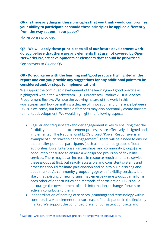**Q6 – Is there anything in these principles that you think would compromise your ability to participate or should these principles be applied differently from the way set out in our paper?**

No response provided.

### **Q7 – We will apply these principles to all of our future development work – do you believe that there are any elements that are not covered by Open Networks Project developments or elements that should be prioritised?**

See answers to Q4 and Q5.

#### **Q8 - Do you agree with the learning and 'good practice' highlighted in the report and can you provide any suggestions for any additional points to be considered and/or steps to implementation?**

We support the continued development of the learning and good practice as highlighted within the Workstream 1 (T-D Processes) Product 2: DER Services Procurement Review. We note the evolving nature of the work in this workstream and how permitting a degree of innovation and difference between DSOs is welcome, but how these differences may also potentially create barriers to market development. We would highlight the following aspects:

- Regular and frequent stakeholder engagement is key to ensuring that the flexibility market and procurement processes are effectively designed and implemented. The National Grid ESO's project 'Power Responsive' is an example of such stakeholder engagement<sup>7</sup>. There will be a need to ensure that smaller potential participants (such as the named groups of local authorities, Local Enterprise Partnerships, and community groups) are adequately consulted to ensure a widespread provision of flexibility services. There may be an increase in resource requirements to service these groups at first, but readily accessible and consistent systems and processes should facilitate participation and help to build a strong and deep market. As community groups engage with flexibility services, it is likely that existing or new forums may emerge where groups can inform each other of opportunities and methods of participation. DSOs could encourage the development of such information exchange forums or actively contribute to them.
- Standardisation of naming of services (branding) and terminology within contracts is a vital element to ensure ease of participation in the flexibility market. We support the continued drive for consistent contracts and

<sup>7</sup> National Grid ESO 'Power Responsive' project, <http://powerresponsive.com/>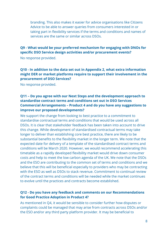branding. This also makes it easier for advice organisations like Citizens Advice to be able to answer queries from consumers interested in or taking part in flexibility services if the terms and conditions and names of services are the same or similar across DSOs.

#### **Q9 - What would be your preferred mechanism for engaging with DNOs for specific DSO Service design activities and/or procurement events?**

No response provided.

#### **Q10 - In addition to the data set out in Appendix 2, what extra information might DER or market platforms require to support their involvement in the procurement of DSO Services?**

No response provided.

#### **Q11 – Do you agree with our Next Steps and the development approach to standardise contract terms and conditions set out in DSO Services Commercial Arrangements – Product 4 and do you have any suggestions to improve our proposed developments?**

We support the change from looking to best practice to a commitment to standardise contractual terms and conditions that would be used across all DSOs. It is clear that stakeholder feedback has been taken into account to drive this change. While development of standardised contractual terms may take longer to deliver than establishing core best practice, there are likely to be substantial benefits to the flexibility market in the longer term. We note that the expected date for delivery of a template of the standardised contract terms and conditions will be March 2020. However, we would recommend accelerating this timetable as a rapidly developed flexibility market would drive down consumer costs and help to meet the low carbon agenda of the UK. We note that the DSOs and the ESO are contributing to the common set of terms and conditions and we believe that this will be beneficial especially to providers who may be contracting with the ESO as well as DSOs to stack revenue. Commitment to continual review of the contract terms and conditions will be needed while the market continues to evolve until the practices and contracts become established.

#### **Q12 - Do you have any feedback and comments on our Recommendations for Good Practice Adoption in Product 4?**

As mentioned in Q4, it would be sensible to consider further how disputes or complaints could be managed that may arise from contracts across DSOs and/or the ESO and/or any third party platform provider. It may be beneficial to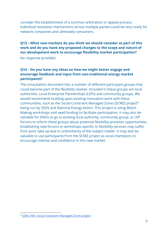consider the establishment of a common arbitration or appeal process. Individual resolution mechanisms across multiple parties could be very costly for network companies and ultimately consumers.

#### **Q13 – What new markets do you think we should consider as part of this work and do you have any proposed changes to the scope and nature of our development work to encourage flexibility market participation?**

No response provided.

#### **Q14 – Do you have any ideas on how we might better engage and encourage feedback and input from non-traditional energy market participants?**

The consultation document lists a number of different participant groups that could become part of the flexibility market. Included in these groups are local authorities, Local Enterprise Partnerships (LEPs) and community groups. We would recommend building upon existing innovation work with these communities, such as the Social Constraint Managed Zones (SCMZ) project<sup>8</sup> being run by SSEN and National Energy Action. This project is using Match Making workshops and seed funding to facilitate participation. It may also be valuable for DNOs to go to existing local authority, community group, or LEP forums to inform these groups about potential flexibility provision opportunities. Establishing new forums or workshops specific to flexibility services may suffer from poor take-up due to unfamiliarity of the subject matter. It may also be valuable to use participants from the SCMZ project as vocal champions to encourage interest and confidence in this new market.

<sup>&</sup>lt;sup>8</sup> SSEN, NEA, Social [Constraint](https://www.nea.org.uk/technical/scmz/) Managed Zones project